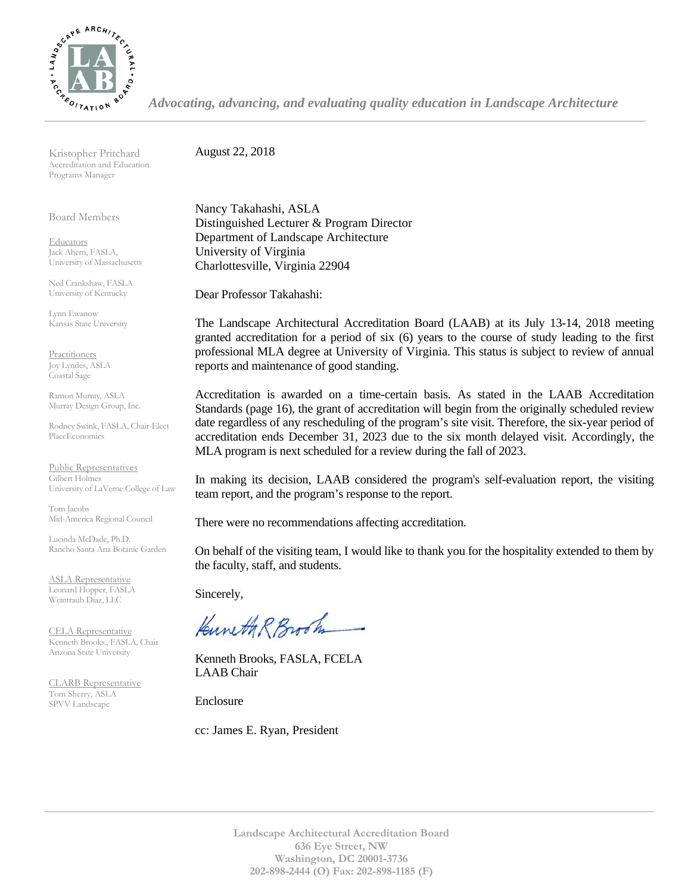

*Advocating, advancing, and evaluating quality education in Landscape Architecture*

Kristopher Pritchard Accreditation and Education Programs Manager

Board Members

**Educators** Jack Ahern, FASLA, University of Massachusetts

Ned Crankshaw, FASLA University of Kentucky

Lynn Ewanow Kansas State University

**Practitioners** Joy Lyndes, ASLA Coastal Sage

Ramon Murray, ASLA Murray Design Group, Inc.

Rodney Swink, FASLA, Chair-Elect PlaceEconomics

Public Representatives Gilbert Holmes University of LaVerne College of Law

Tom Jacobs Mid-America Regional Council

Lucinda McDade, Ph.D. Rancho Santa Ana Botanic Garden

ASLA Representative Leonard Hopper, FASLA Weintraub Diaz, LLC

CELA Representative Kenneth Brooks., FASLA, Chair Arizona State University

CLARB Representative Tom Sherry, ASLA SPVV Landscape

August 22, 2018

Nancy Takahashi, ASLA Distinguished Lecturer & Program Director Department of Landscape Architecture University of Virginia Charlottesville, Virginia 22904

Dear Professor Takahashi:

The Landscape Architectural Accreditation Board (LAAB) at its July 13-14, 2018 meeting granted accreditation for a period of six (6) years to the course of study leading to the first professional MLA degree at University of Virginia. This status is subject to review of annual reports and maintenance of good standing.

Accreditation is awarded on a time-certain basis. As stated in the LAAB Accreditation Standards (page 16), the grant of accreditation will begin from the originally scheduled review date regardless of any rescheduling of the program's site visit. Therefore, the six-year period of accreditation ends December 31, 2023 due to the six month delayed visit. Accordingly, the MLA program is next scheduled for a review during the fall of 2023.

In making its decision, LAAB considered the program's self-evaluation report, the visiting team report, and the program's response to the report.

There were no recommendations affecting accreditation.

On behalf of the visiting team, I would like to thank you for the hospitality extended to them by the faculty, staff, and students.

Sincerely,

Kuneth R Brook

Kenneth Brooks, FASLA, FCELA LAAB Chair

Enclosure

cc: James E. Ryan, President

**Landscape Architectural Accreditation Board 636 Eye Street, NW Washington, DC 20001-3736 202-898-2444 (O) Fax: 202-898-1185 (F)**